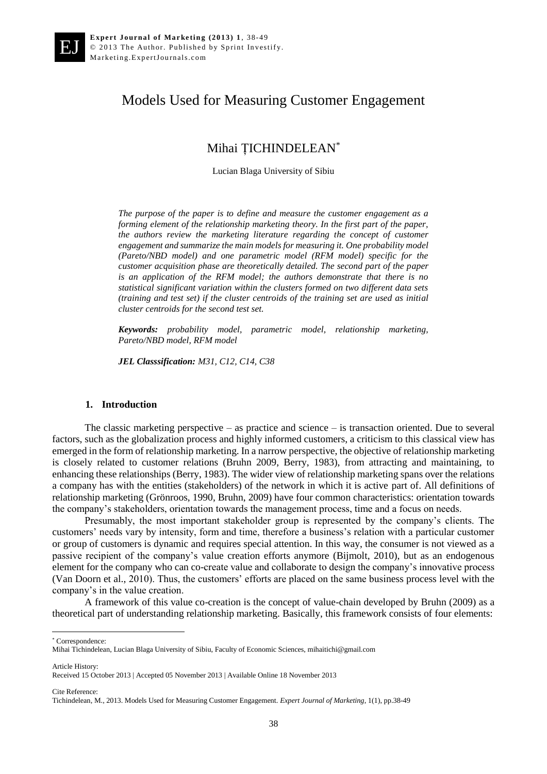# Models Used for Measuring Customer Engagement

## Mihai ȚICHINDELEAN\*

Lucian Blaga University of Sibiu

*The purpose of the paper is to define and measure the customer engagement as a forming element of the relationship marketing theory. In the first part of the paper, the authors review the marketing literature regarding the concept of customer engagement and summarize the main models for measuring it. One probability model (Pareto/NBD model) and one parametric model (RFM model) specific for the customer acquisition phase are theoretically detailed. The second part of the paper is an application of the RFM model; the authors demonstrate that there is no statistical significant variation within the clusters formed on two different data sets (training and test set) if the cluster centroids of the training set are used as initial cluster centroids for the second test set.*

*Keywords: probability model, parametric model, relationship marketing, Pareto/NBD model, RFM model*

*JEL Classsification: M31, C12, C14, C38*

#### **1. Introduction**

The classic marketing perspective – as practice and science – is transaction oriented. Due to several factors, such as the globalization process and highly informed customers, a criticism to this classical view has emerged in the form of relationship marketing. In a narrow perspective, the objective of relationship marketing is closely related to customer relations (Bruhn 2009, Berry, 1983), from attracting and maintaining, to enhancing these relationships (Berry, 1983). The wider view of relationship marketing spans over the relations a company has with the entities (stakeholders) of the network in which it is active part of. All definitions of relationship marketing (Grönroos, 1990, Bruhn, 2009) have four common characteristics: orientation towards the company's stakeholders, orientation towards the management process, time and a focus on needs.

Presumably, the most important stakeholder group is represented by the company's clients. The customers' needs vary by intensity, form and time, therefore a business's relation with a particular customer or group of customers is dynamic and requires special attention. In this way, the consumer is not viewed as a passive recipient of the company's value creation efforts anymore (Bijmolt, 2010), but as an endogenous element for the company who can co-create value and collaborate to design the company's innovative process (Van Doorn et al., 2010). Thus, the customers' efforts are placed on the same business process level with the company's in the value creation.

A framework of this value co-creation is the concept of value-chain developed by Bruhn (2009) as a theoretical part of understanding relationship marketing. Basically, this framework consists of four elements:

\* Correspondence:

 $\overline{a}$ 

Article History:

Cite Reference:

Mihai Tichindelean, Lucian Blaga University of Sibiu, Faculty of Economic Sciences, mihaitichi@gmail.com

Received 15 October 2013 | Accepted 05 November 2013 | Available Online 18 November 2013

Tichindelean, M., 2013. Models Used for Measuring Customer Engagement. *Expert Journal of Marketing*, 1(1), pp.38-49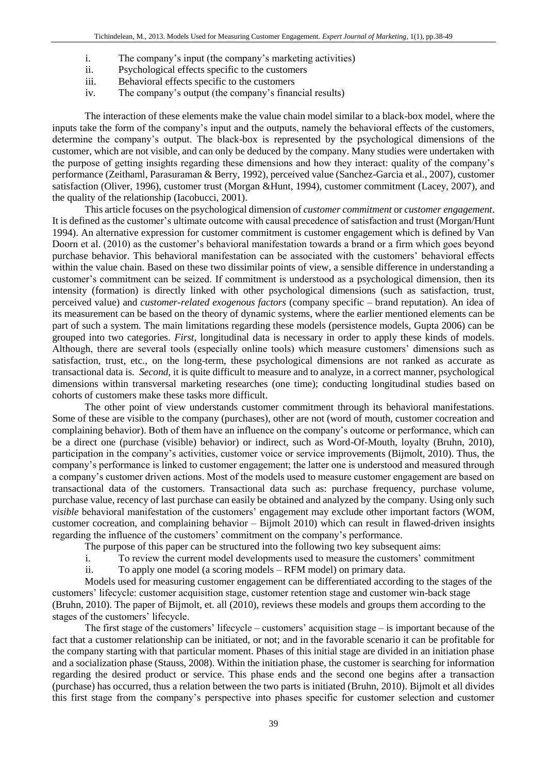- i. The company's input (the company's marketing activities)
- ii. Psychological effects specific to the customers
- iii. Behavioral effects specific to the customers
- iv. The company's output (the company's financial results)

The interaction of these elements make the value chain model similar to a black-box model, where the inputs take the form of the company's input and the outputs, namely the behavioral effects of the customers, determine the company's output. The black-box is represented by the psychological dimensions of the customer, which are not visible, and can only be deduced by the company. Many studies were undertaken with the purpose of getting insights regarding these dimensions and how they interact: quality of the company's performance (Zeithaml, Parasuraman & Berry, 1992), perceived value (Sanchez-Garcia et al., 2007), customer satisfaction (Oliver, 1996), customer trust (Morgan &Hunt, 1994), customer commitment (Lacey, 2007), and the quality of the relationship (Iacobucci, 2001).

This article focuses on the psychological dimension of *customer commitment* or *customer engagement*. It is defined as the customer's ultimate outcome with causal precedence of satisfaction and trust (Morgan/Hunt 1994). An alternative expression for customer commitment is customer engagement which is defined by Van Doorn et al. (2010) as the customer's behavioral manifestation towards a brand or a firm which goes beyond purchase behavior. This behavioral manifestation can be associated with the customers' behavioral effects within the value chain. Based on these two dissimilar points of view, a sensible difference in understanding a customer's commitment can be seized. If commitment is understood as a psychological dimension, then its intensity (formation) is directly linked with other psychological dimensions (such as satisfaction, trust, perceived value) and *customer-related exogenous factors* (company specific – brand reputation). An idea of its measurement can be based on the theory of dynamic systems, where the earlier mentioned elements can be part of such a system. The main limitations regarding these models (persistence models, Gupta 2006) can be grouped into two categories. *First*, longitudinal data is necessary in order to apply these kinds of models. Although, there are several tools (especially online tools) which measure customers' dimensions such as satisfaction, trust, etc., on the long-term, these psychological dimensions are not ranked as accurate as transactional data is. *Second,* it is quite difficult to measure and to analyze, in a correct manner, psychological dimensions within transversal marketing researches (one time); conducting longitudinal studies based on cohorts of customers make these tasks more difficult.

The other point of view understands customer commitment through its behavioral manifestations. Some of these are visible to the company (purchases), other are not (word of mouth, customer cocreation and complaining behavior). Both of them have an influence on the company's outcome or performance, which can be a direct one (purchase (visible) behavior) or indirect, such as Word-Of-Mouth, loyalty (Bruhn, 2010), participation in the company's activities, customer voice or service improvements (Bijmolt, 2010). Thus, the company's performance is linked to customer engagement; the latter one is understood and measured through a company's customer driven actions. Most of the models used to measure customer engagement are based on transactional data of the customers. Transactional data such as: purchase frequency, purchase volume, purchase value, recency of last purchase can easily be obtained and analyzed by the company. Using only such *visible* behavioral manifestation of the customers' engagement may exclude other important factors (WOM, customer cocreation, and complaining behavior – Bijmolt 2010) which can result in flawed-driven insights regarding the influence of the customers' commitment on the company's performance.

The purpose of this paper can be structured into the following two key subsequent aims:

i. To review the current model developments used to measure the customers' commitment

ii. To apply one model (a scoring models – RFM model) on primary data.

Models used for measuring customer engagement can be differentiated according to the stages of the customers' lifecycle: customer acquisition stage, customer retention stage and customer win-back stage (Bruhn, 2010). The paper of Bijmolt, et. all (2010), reviews these models and groups them according to the stages of the customers' lifecycle.

The first stage of the customers' lifecycle – customers' acquisition stage – is important because of the fact that a customer relationship can be initiated, or not; and in the favorable scenario it can be profitable for the company starting with that particular moment. Phases of this initial stage are divided in an initiation phase and a socialization phase (Stauss, 2008). Within the initiation phase, the customer is searching for information regarding the desired product or service. This phase ends and the second one begins after a transaction (purchase) has occurred, thus a relation between the two parts is initiated (Bruhn, 2010). Bijmolt et all divides this first stage from the company's perspective into phases specific for customer selection and customer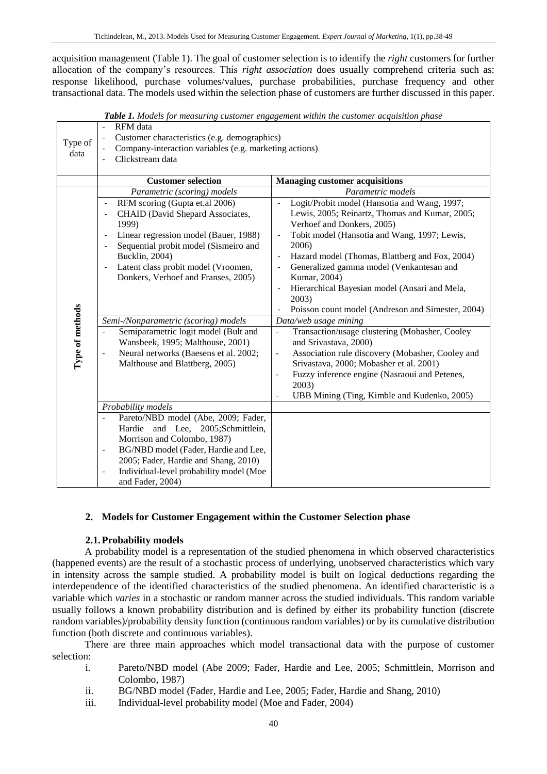acquisition management (Table 1). The goal of customer selection is to identify the *right* customers for further allocation of the company's resources. This *right association* does usually comprehend criteria such as: response likelihood, purchase volumes/values, purchase probabilities, purchase frequency and other transactional data. The models used within the selection phase of customers are further discussed in this paper.

| Type of<br>data | RFM data<br>Customer characteristics (e.g. demographics)<br>Company-interaction variables (e.g. marketing actions)<br>Clickstream data<br>$\overline{\phantom{a}}$                                                                                                                                                                                                                                           |                                                                                                                                                                                                                                                                                                                                                                                                                                                                                                                                                         |  |  |  |  |  |  |  |  |
|-----------------|--------------------------------------------------------------------------------------------------------------------------------------------------------------------------------------------------------------------------------------------------------------------------------------------------------------------------------------------------------------------------------------------------------------|---------------------------------------------------------------------------------------------------------------------------------------------------------------------------------------------------------------------------------------------------------------------------------------------------------------------------------------------------------------------------------------------------------------------------------------------------------------------------------------------------------------------------------------------------------|--|--|--|--|--|--|--|--|
|                 | <b>Customer selection</b>                                                                                                                                                                                                                                                                                                                                                                                    | <b>Managing customer acquisitions</b>                                                                                                                                                                                                                                                                                                                                                                                                                                                                                                                   |  |  |  |  |  |  |  |  |
|                 | Parametric (scoring) models<br>RFM scoring (Gupta et.al 2006)<br>$\overline{\phantom{a}}$<br>CHAID (David Shepard Associates,<br>$\overline{\phantom{a}}$<br>1999)<br>Linear regression model (Bauer, 1988)<br>$\overline{\phantom{a}}$<br>Sequential probit model (Sismeiro and<br>Bucklin, 2004)<br>Latent class probit model (Vroomen,<br>$\overline{\phantom{a}}$<br>Donkers, Verhoef and Franses, 2005) | Parametric models<br>Logit/Probit model (Hansotia and Wang, 1997;<br>$\overline{\phantom{a}}$<br>Lewis, 2005; Reinartz, Thomas and Kumar, 2005;<br>Verhoef and Donkers, 2005)<br>Tobit model (Hansotia and Wang, 1997; Lewis,<br>$\overline{\phantom{a}}$<br>2006)<br>Hazard model (Thomas, Blattberg and Fox, 2004)<br>$\overline{\phantom{a}}$<br>Generalized gamma model (Venkantesan and<br>Kumar, 2004)<br>Hierarchical Bayesian model (Ansari and Mela,<br>$\overline{\phantom{a}}$<br>2003)<br>Poisson count model (Andreson and Simester, 2004) |  |  |  |  |  |  |  |  |
|                 | Semi-/Nonparametric (scoring) models                                                                                                                                                                                                                                                                                                                                                                         | Data/web usage mining                                                                                                                                                                                                                                                                                                                                                                                                                                                                                                                                   |  |  |  |  |  |  |  |  |
| Type of methods | Semiparametric logit model (Bult and<br>Wansbeek, 1995; Malthouse, 2001)<br>Neural networks (Baesens et al. 2002;<br>$\overline{\phantom{a}}$<br>Malthouse and Blattberg, 2005)                                                                                                                                                                                                                              | Transaction/usage clustering (Mobasher, Cooley<br>$\Box$<br>and Srivastava, 2000)<br>Association rule discovery (Mobasher, Cooley and<br>$\overline{\phantom{a}}$<br>Srivastava, 2000; Mobasher et al. 2001)<br>Fuzzy inference engine (Nasraoui and Petenes,<br>$\overline{\phantom{a}}$<br>2003)<br>UBB Mining (Ting, Kimble and Kudenko, 2005)                                                                                                                                                                                                       |  |  |  |  |  |  |  |  |
|                 | Probability models                                                                                                                                                                                                                                                                                                                                                                                           |                                                                                                                                                                                                                                                                                                                                                                                                                                                                                                                                                         |  |  |  |  |  |  |  |  |
|                 | Pareto/NBD model (Abe, 2009; Fader,<br>Hardie and Lee, 2005;Schmittlein,<br>Morrison and Colombo, 1987)<br>BG/NBD model (Fader, Hardie and Lee,<br>$\overline{\phantom{a}}$<br>2005; Fader, Hardie and Shang, 2010)<br>Individual-level probability model (Moe<br>$\overline{\phantom{a}}$<br>and Fader, 2004)                                                                                               |                                                                                                                                                                                                                                                                                                                                                                                                                                                                                                                                                         |  |  |  |  |  |  |  |  |

*Table 1. Models for measuring customer engagement within the customer acquisition phase*

## **2. Models for Customer Engagement within the Customer Selection phase**

## **2.1.Probability models**

A probability model is a representation of the studied phenomena in which observed characteristics (happened events) are the result of a stochastic process of underlying, unobserved characteristics which vary in intensity across the sample studied. A probability model is built on logical deductions regarding the interdependence of the identified characteristics of the studied phenomena. An identified characteristic is a variable which *varies* in a stochastic or random manner across the studied individuals. This random variable usually follows a known probability distribution and is defined by either its probability function (discrete random variables)/probability density function (continuous random variables) or by its cumulative distribution function (both discrete and continuous variables).

There are three main approaches which model transactional data with the purpose of customer selection:

- i. Pareto/NBD model (Abe 2009; Fader, Hardie and Lee, 2005; Schmittlein, Morrison and Colombo, 1987)
- ii. BG/NBD model (Fader, Hardie and Lee, 2005; Fader, Hardie and Shang, 2010)
- iii. Individual-level probability model (Moe and Fader, 2004)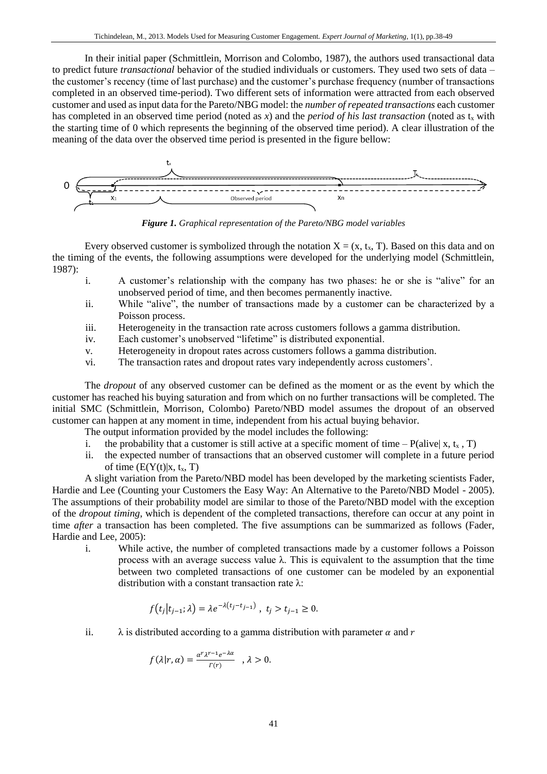In their initial paper (Schmittlein, Morrison and Colombo, 1987), the authors used transactional data to predict future *transactional* behavior of the studied individuals or customers. They used two sets of data – the customer's recency (time of last purchase) and the customer's purchase frequency (number of transactions completed in an observed time-period). Two different sets of information were attracted from each observed customer and used as input data for the Pareto/NBG model: the *number of repeated transactions* each customer has completed in an observed time period (noted as x) and the *period of his last transaction* (noted as  $t_x$  with the starting time of 0 which represents the beginning of the observed time period). A clear illustration of the meaning of the data over the observed time period is presented in the figure bellow:



*Figure 1. Graphical representation of the Pareto/NBG model variables*

Every observed customer is symbolized through the notation  $X = (x, t_x, T)$ . Based on this data and on the timing of the events, the following assumptions were developed for the underlying model (Schmittlein, 1987):

- i. A customer's relationship with the company has two phases: he or she is "alive" for an unobserved period of time, and then becomes permanently inactive.
- ii. While "alive", the number of transactions made by a customer can be characterized by a Poisson process.
- iii. Heterogeneity in the transaction rate across customers follows a gamma distribution.
- iv. Each customer's unobserved "lifetime" is distributed exponential.
- v. Heterogeneity in dropout rates across customers follows a gamma distribution.
- vi. The transaction rates and dropout rates vary independently across customers'.

The *dropout* of any observed customer can be defined as the moment or as the event by which the customer has reached his buying saturation and from which on no further transactions will be completed. The initial SMC (Schmittlein, Morrison, Colombo) Pareto/NBD model assumes the dropout of an observed customer can happen at any moment in time, independent from his actual buying behavior.

- The output information provided by the model includes the following:
- i. the probability that a customer is still active at a specific moment of time P(alive| x, t<sub>x</sub>, T)
- ii. the expected number of transactions that an observed customer will complete in a future period of time  $(E(Y(t)|x, t_x, T))$

A slight variation from the Pareto/NBD model has been developed by the marketing scientists Fader, Hardie and Lee (Counting your Customers the Easy Way: An Alternative to the Pareto/NBD Model - 2005). The assumptions of their probability model are similar to those of the Pareto/NBD model with the exception of the *dropout timing*, which is dependent of the completed transactions, therefore can occur at any point in time *after* a transaction has been completed. The five assumptions can be summarized as follows (Fader, Hardie and Lee, 2005):

i. While active, the number of completed transactions made by a customer follows a Poisson process with an average success value λ. This is equivalent to the assumption that the time between two completed transactions of one customer can be modeled by an exponential distribution with a constant transaction rate  $\lambda$ :

$$
f(t_j|t_{j-1};\lambda) = \lambda e^{-\lambda(t_j - t_{j-1})}, \ t_j > t_{j-1} \ge 0.
$$

ii.  $\lambda$  is distributed according to a gamma distribution with parameter  $\alpha$  and r

$$
f(\lambda|r,\alpha) = \frac{\alpha^r \lambda^{r-1} e^{-\lambda \alpha}}{r(r)} \quad , \lambda > 0.
$$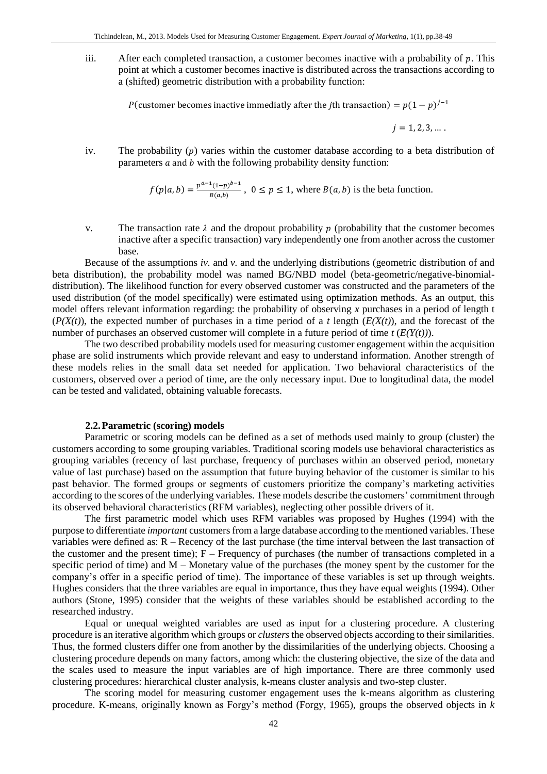iii. After each completed transaction, a customer becomes inactive with a probability of  $p$ . This point at which a customer becomes inactive is distributed across the transactions according to a (shifted) geometric distribution with a probability function:

P(customer becomes inactive immediatly after the *j*th transaction) =  $p(1-p)^{j-1}$ 

 $i = 1, 2, 3, \dots$ .

iv. The probability  $(p)$  varies within the customer database according to a beta distribution of parameters  $\alpha$  and  $\beta$  with the following probability density function:

$$
f(p|a,b) = \frac{p^{a-1}(1-p)^{b-1}}{B(a,b)}, \ 0 \le p \le 1, \text{ where } B(a,b) \text{ is the beta function.}
$$

v. The transaction rate  $\lambda$  and the dropout probability  $p$  (probability that the customer becomes inactive after a specific transaction) vary independently one from another across the customer base.

 Because of the assumptions *iv.* and *v.* and the underlying distributions (geometric distribution of and beta distribution), the probability model was named BG/NBD model (beta-geometric/negative-binomialdistribution). The likelihood function for every observed customer was constructed and the parameters of the used distribution (of the model specifically) were estimated using optimization methods. As an output, this model offers relevant information regarding: the probability of observing *x* purchases in a period of length t  $(P(X(t))$ , the expected number of purchases in a time period of a *t* length  $(E(X(t)))$ , and the forecast of the number of purchases an observed customer will complete in a future period of time *t* (*E(Y(t))*).

The two described probability models used for measuring customer engagement within the acquisition phase are solid instruments which provide relevant and easy to understand information. Another strength of these models relies in the small data set needed for application. Two behavioral characteristics of the customers, observed over a period of time, are the only necessary input. Due to longitudinal data, the model can be tested and validated, obtaining valuable forecasts.

#### **2.2.Parametric (scoring) models**

Parametric or scoring models can be defined as a set of methods used mainly to group (cluster) the customers according to some grouping variables. Traditional scoring models use behavioral characteristics as grouping variables (recency of last purchase, frequency of purchases within an observed period, monetary value of last purchase) based on the assumption that future buying behavior of the customer is similar to his past behavior. The formed groups or segments of customers prioritize the company's marketing activities according to the scores of the underlying variables. These models describe the customers' commitment through its observed behavioral characteristics (RFM variables), neglecting other possible drivers of it.

The first parametric model which uses RFM variables was proposed by Hughes (1994) with the purpose to differentiate *important* customers from a large database according to the mentioned variables. These variables were defined as: R – Recency of the last purchase (the time interval between the last transaction of the customer and the present time);  $F - F$  Frequency of purchases (the number of transactions completed in a specific period of time) and M – Monetary value of the purchases (the money spent by the customer for the company's offer in a specific period of time). The importance of these variables is set up through weights. Hughes considers that the three variables are equal in importance, thus they have equal weights (1994). Other authors (Stone, 1995) consider that the weights of these variables should be established according to the researched industry.

Equal or unequal weighted variables are used as input for a clustering procedure. A clustering procedure is an iterative algorithm which groups or *clusters*the observed objects according to their similarities. Thus, the formed clusters differ one from another by the dissimilarities of the underlying objects. Choosing a clustering procedure depends on many factors, among which: the clustering objective, the size of the data and the scales used to measure the input variables are of high importance. There are three commonly used clustering procedures: hierarchical cluster analysis, k-means cluster analysis and two-step cluster.

The scoring model for measuring customer engagement uses the k-means algorithm as clustering procedure. K-means, originally known as Forgy's method (Forgy, 1965), groups the observed objects in *k*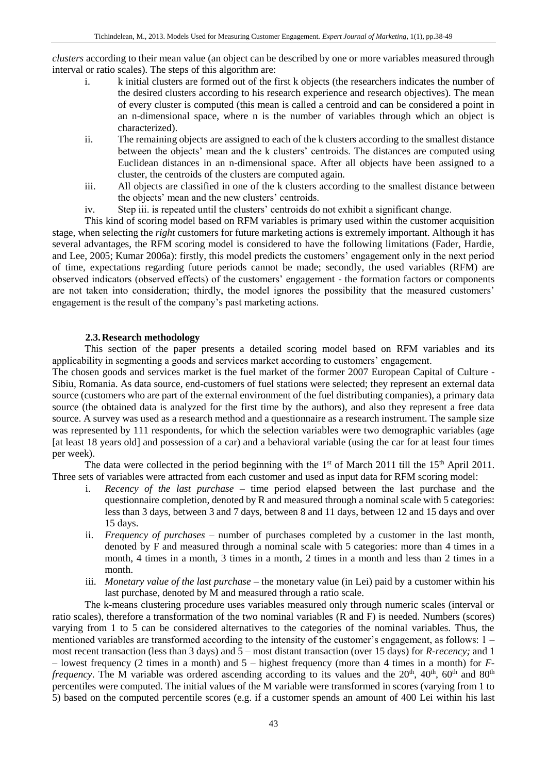*clusters* according to their mean value (an object can be described by one or more variables measured through interval or ratio scales). The steps of this algorithm are:

- i. k initial clusters are formed out of the first k objects (the researchers indicates the number of the desired clusters according to his research experience and research objectives). The mean of every cluster is computed (this mean is called a centroid and can be considered a point in an n-dimensional space, where n is the number of variables through which an object is characterized).
- ii. The remaining objects are assigned to each of the k clusters according to the smallest distance between the objects' mean and the k clusters' centroids. The distances are computed using Euclidean distances in an n-dimensional space. After all objects have been assigned to a cluster, the centroids of the clusters are computed again.
- iii. All objects are classified in one of the k clusters according to the smallest distance between the objects' mean and the new clusters' centroids.
- iv. Step iii. is repeated until the clusters' centroids do not exhibit a significant change.

This kind of scoring model based on RFM variables is primary used within the customer acquisition stage, when selecting the *right* customers for future marketing actions is extremely important. Although it has several advantages, the RFM scoring model is considered to have the following limitations (Fader, Hardie, and Lee, 2005; Kumar 2006a): firstly, this model predicts the customers' engagement only in the next period of time, expectations regarding future periods cannot be made; secondly, the used variables (RFM) are observed indicators (observed effects) of the customers' engagement - the formation factors or components are not taken into consideration; thirdly, the model ignores the possibility that the measured customers' engagement is the result of the company's past marketing actions.

## **2.3.Research methodology**

This section of the paper presents a detailed scoring model based on RFM variables and its applicability in segmenting a goods and services market according to customers' engagement.

The chosen goods and services market is the fuel market of the former 2007 European Capital of Culture - Sibiu, Romania. As data source, end-customers of fuel stations were selected; they represent an external data source (customers who are part of the external environment of the fuel distributing companies), a primary data source (the obtained data is analyzed for the first time by the authors), and also they represent a free data source. A survey was used as a research method and a questionnaire as a research instrument. The sample size was represented by 111 respondents, for which the selection variables were two demographic variables (age [at least 18 years old] and possession of a car) and a behavioral variable (using the car for at least four times per week).

The data were collected in the period beginning with the 1<sup>st</sup> of March 2011 till the 15<sup>th</sup> April 2011. Three sets of variables were attracted from each customer and used as input data for RFM scoring model:

- i. *Recency of the last purchase* time period elapsed between the last purchase and the questionnaire completion, denoted by R and measured through a nominal scale with 5 categories: less than 3 days, between 3 and 7 days, between 8 and 11 days, between 12 and 15 days and over 15 days.
- ii. *Frequency of purchases –* number of purchases completed by a customer in the last month, denoted by F and measured through a nominal scale with 5 categories: more than 4 times in a month, 4 times in a month, 3 times in a month, 2 times in a month and less than 2 times in a month.
- iii. *Monetary value of the last purchase* the monetary value (in Lei) paid by a customer within his last purchase, denoted by M and measured through a ratio scale.

The k-means clustering procedure uses variables measured only through numeric scales (interval or ratio scales), therefore a transformation of the two nominal variables (R and F) is needed. Numbers (scores) varying from 1 to 5 can be considered alternatives to the categories of the nominal variables. Thus, the mentioned variables are transformed according to the intensity of the customer's engagement, as follows: 1 – most recent transaction (less than 3 days) and 5 – most distant transaction (over 15 days) for *R-recency;* and 1 – lowest frequency (2 times in a month) and 5 – highest frequency (more than 4 times in a month) for *Ffrequency*. The M variable was ordered ascending according to its values and the 20<sup>th</sup>, 40<sup>th</sup>, 60<sup>th</sup> and 80<sup>th</sup> percentiles were computed. The initial values of the M variable were transformed in scores (varying from 1 to 5) based on the computed percentile scores (e.g. if a customer spends an amount of 400 Lei within his last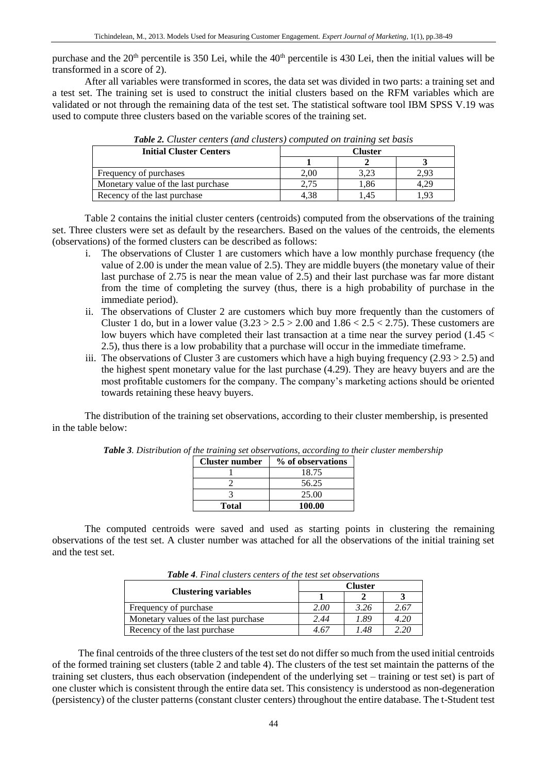purchase and the  $20<sup>th</sup>$  percentile is 350 Lei, while the  $40<sup>th</sup>$  percentile is 430 Lei, then the initial values will be transformed in a score of 2).

After all variables were transformed in scores, the data set was divided in two parts: a training set and a test set. The training set is used to construct the initial clusters based on the RFM variables which are validated or not through the remaining data of the test set. The statistical software tool IBM SPSS V.19 was used to compute three clusters based on the variable scores of the training set.

| <b>Initial Cluster Centers</b>      | Cluster |      |      |  |  |  |
|-------------------------------------|---------|------|------|--|--|--|
|                                     |         |      |      |  |  |  |
| Frequency of purchases              | 2.00    | 3.23 | 2.93 |  |  |  |
| Monetary value of the last purchase | 2.75    | 1.86 | 4.29 |  |  |  |
| Recency of the last purchase        | 4.38    | . 45 |      |  |  |  |

*Table 2. Cluster centers (and clusters) computed on training set basis*

Table 2 contains the initial cluster centers (centroids) computed from the observations of the training set. Three clusters were set as default by the researchers. Based on the values of the centroids, the elements (observations) of the formed clusters can be described as follows:

- i. The observations of Cluster 1 are customers which have a low monthly purchase frequency (the value of 2.00 is under the mean value of 2.5). They are middle buyers (the monetary value of their last purchase of 2.75 is near the mean value of 2.5) and their last purchase was far more distant from the time of completing the survey (thus, there is a high probability of purchase in the immediate period).
- ii. The observations of Cluster 2 are customers which buy more frequently than the customers of Cluster 1 do, but in a lower value  $(3.23 > 2.5 > 2.00$  and  $1.86 < 2.5 < 2.75$ ). These customers are low buyers which have completed their last transaction at a time near the survey period (1.45 < 2.5), thus there is a low probability that a purchase will occur in the immediate timeframe.
- iii. The observations of Cluster 3 are customers which have a high buying frequency  $(2.93 > 2.5)$  and the highest spent monetary value for the last purchase (4.29). They are heavy buyers and are the most profitable customers for the company. The company's marketing actions should be oriented towards retaining these heavy buyers.

The distribution of the training set observations, according to their cluster membership, is presented in the table below:

| <b>Cluster number</b> | % of observations |
|-----------------------|-------------------|
|                       | 18.75             |
|                       | 56.25             |
|                       | 25.00             |
| <b>Total</b>          | 100.00            |

*Table 3. Distribution of the training set observations, according to their cluster membership*

The computed centroids were saved and used as starting points in clustering the remaining observations of the test set. A cluster number was attached for all the observations of the initial training set and the test set.

|                                      | <b>Cluster</b> |      |      |  |  |  |
|--------------------------------------|----------------|------|------|--|--|--|
| <b>Clustering variables</b>          |                |      |      |  |  |  |
| Frequency of purchase                | 2.00           | 3.26 | 2.67 |  |  |  |
| Monetary values of the last purchase | 2.44           | 1.89 | 4.20 |  |  |  |
| Recency of the last purchase         | 4.67           | 1.48 | 2.20 |  |  |  |

*Table 4. Final clusters centers of the test set observations*

The final centroids of the three clusters of the test set do not differ so much from the used initial centroids of the formed training set clusters (table 2 and table 4). The clusters of the test set maintain the patterns of the training set clusters, thus each observation (independent of the underlying set – training or test set) is part of one cluster which is consistent through the entire data set. This consistency is understood as non-degeneration (persistency) of the cluster patterns (constant cluster centers) throughout the entire database. The t-Student test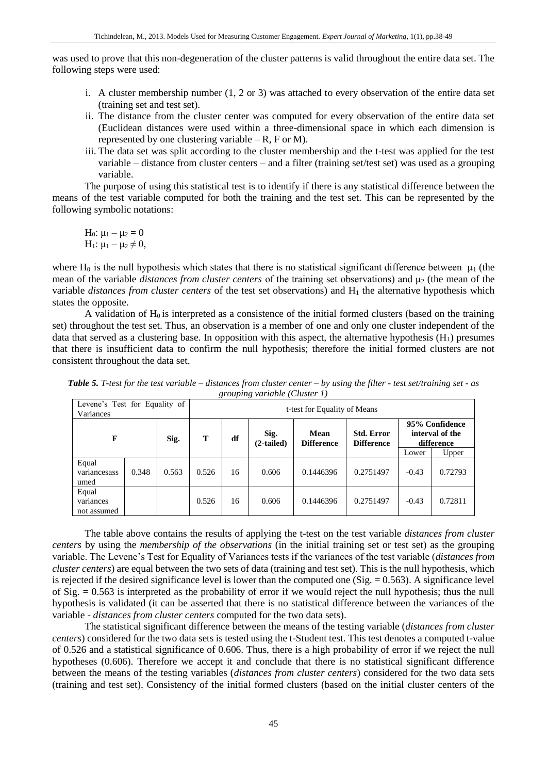was used to prove that this non-degeneration of the cluster patterns is valid throughout the entire data set. The following steps were used:

- i. A cluster membership number (1, 2 or 3) was attached to every observation of the entire data set (training set and test set).
- ii. The distance from the cluster center was computed for every observation of the entire data set (Euclidean distances were used within a three-dimensional space in which each dimension is represented by one clustering variable  $- R$ , F or M).
- iii. The data set was split according to the cluster membership and the t-test was applied for the test variable – distance from cluster centers – and a filter (training set/test set) was used as a grouping variable.

The purpose of using this statistical test is to identify if there is any statistical difference between the means of the test variable computed for both the training and the test set. This can be represented by the following symbolic notations:

H<sub>0</sub>:  $\mu_1 - \mu_2 = 0$ H<sub>1</sub>:  $\mu_1 - \mu_2 \neq 0$ ,

where H<sub>0</sub> is the null hypothesis which states that there is no statistical significant difference between  $\mu_1$  (the mean of the variable *distances from cluster centers* of the training set observations) and μ<sub>2</sub> (the mean of the variable *distances from cluster centers* of the test set observations) and H<sub>1</sub> the alternative hypothesis which states the opposite.

A validation of  $H_0$  is interpreted as a consistence of the initial formed clusters (based on the training set) throughout the test set. Thus, an observation is a member of one and only one cluster independent of the data that served as a clustering base. In opposition with this aspect, the alternative hypothesis  $(H_1)$  presumes that there is insufficient data to confirm the null hypothesis; therefore the initial formed clusters are not consistent throughout the data set.

*Table 5. T-test for the test variable – distances from cluster center – by using the filter - test set/training set - as grouping variable (Cluster 1)*

| Levene's Test for Equality of<br>Variances |       |       | t-test for Equality of Means |    |                    |                           |                                        |                                                 |         |  |
|--------------------------------------------|-------|-------|------------------------------|----|--------------------|---------------------------|----------------------------------------|-------------------------------------------------|---------|--|
| F                                          |       | Sig.  | т                            | df | Sig.<br>(2-tailed) | Mean<br><b>Difference</b> | <b>Std. Error</b><br><b>Difference</b> | 95% Confidence<br>interval of the<br>difference |         |  |
|                                            |       |       |                              |    |                    |                           |                                        | Lower                                           | Upper   |  |
| Equal<br>variancesass<br>umed              | 0.348 | 0.563 | 0.526                        | 16 | 0.606              | 0.1446396                 | 0.2751497                              | $-0.43$                                         | 0.72793 |  |
| Equal<br>variances<br>not assumed          |       |       | 0.526                        | 16 | 0.606              | 0.1446396                 | 0.2751497                              | $-0.43$                                         | 0.72811 |  |

The table above contains the results of applying the t-test on the test variable *distances from cluster centers* by using the *membership of the observations* (in the initial training set or test set) as the grouping variable. The Levene's Test for Equality of Variances tests if the variances of the test variable (*distances from cluster centers*) are equal between the two sets of data (training and test set). This is the null hypothesis, which is rejected if the desired significance level is lower than the computed one  $(Sig. = 0.563)$ . A significance level of Sig. = 0.563 is interpreted as the probability of error if we would reject the null hypothesis; thus the null hypothesis is validated (it can be asserted that there is no statistical difference between the variances of the variable - *distances from cluster centers* computed for the two data sets).

The statistical significant difference between the means of the testing variable (*distances from cluster centers*) considered for the two data sets is tested using the t-Student test. This test denotes a computed t-value of 0.526 and a statistical significance of 0.606. Thus, there is a high probability of error if we reject the null hypotheses (0.606). Therefore we accept it and conclude that there is no statistical significant difference between the means of the testing variables (*distances from cluster centers*) considered for the two data sets (training and test set). Consistency of the initial formed clusters (based on the initial cluster centers of the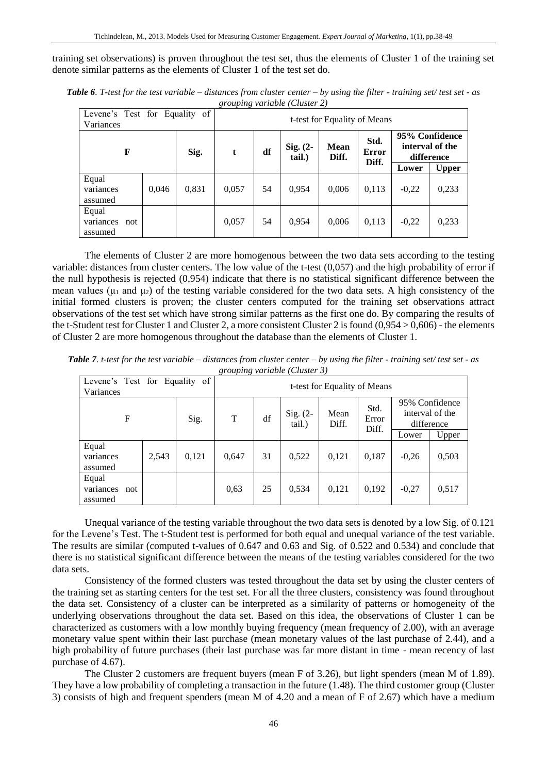training set observations) is proven throughout the test set, thus the elements of Cluster 1 of the training set denote similar patterns as the elements of Cluster 1 of the test set do.

| Levene's Test for Equality of<br>Variances | $\tilde{ }$ |           |       | t-test for Equality of Means |                      |                      |               |                                                 |              |
|--------------------------------------------|-------------|-----------|-------|------------------------------|----------------------|----------------------|---------------|-------------------------------------------------|--------------|
| F                                          |             | Sig.<br>t |       | df                           | Sig. $(2-$<br>tail.) | <b>Mean</b><br>Diff. | Std.<br>Error | 95% Confidence<br>interval of the<br>difference |              |
|                                            |             |           |       |                              |                      |                      | Diff.         | Lower                                           | <b>Upper</b> |
| Equal<br>variances<br>assumed              | 0,046       | 0,831     | 0,057 | 54                           | 0.954                | 0,006                | 0,113         | $-0,22$                                         | 0,233        |
| Equal<br>variances<br>not<br>assumed       |             |           | 0,057 | 54                           | 0.954                | 0,006                | 0,113         | $-0,22$                                         | 0,233        |

*Table 6. T-test for the test variable – distances from cluster center – by using the filter - training set/ test set - as grouping variable (Cluster 2)*

The elements of Cluster 2 are more homogenous between the two data sets according to the testing variable: distances from cluster centers. The low value of the t-test (0,057) and the high probability of error if the null hypothesis is rejected (0,954) indicate that there is no statistical significant difference between the mean values ( $\mu_1$  and  $\mu_2$ ) of the testing variable considered for the two data sets. A high consistency of the initial formed clusters is proven; the cluster centers computed for the training set observations attract observations of the test set which have strong similar patterns as the first one do. By comparing the results of the t-Student test for Cluster 1 and Cluster 2, a more consistent Cluster 2 is found  $(0.954 > 0.606)$  - the elements of Cluster 2 are more homogenous throughout the database than the elements of Cluster 1.

| Levene's Test for Equality of<br>Variances |       |           | $\kappa$ . Our party variable (Cluster $\epsilon$ )<br>t-test for Equality of Means |    |                      |               |               |                                                 |       |
|--------------------------------------------|-------|-----------|-------------------------------------------------------------------------------------|----|----------------------|---------------|---------------|-------------------------------------------------|-------|
| F                                          |       | T<br>Sig. |                                                                                     | df | Sig. $(2-$<br>tail.) | Mean<br>Diff. | Std.<br>Error | 95% Confidence<br>interval of the<br>difference |       |
|                                            |       |           |                                                                                     |    |                      |               | Diff.         | Lower                                           | Upper |
| Equal<br>variances<br>assumed              | 2,543 | 0,121     | 0,647                                                                               | 31 | 0,522                | 0,121         | 0,187         | $-0,26$                                         | 0,503 |
| Equal<br>variances<br>not<br>assumed       |       |           | 0,63                                                                                | 25 | 0,534                | 0,121         | 0,192         | $-0,27$                                         | 0,517 |

*Table 7. t-test for the test variable – distances from cluster center – by using the filter - training set/ test set - as grouping variable (Cluster 3)*

Unequal variance of the testing variable throughout the two data sets is denoted by a low Sig. of 0.121 for the Levene's Test. The t-Student test is performed for both equal and unequal variance of the test variable. The results are similar (computed t-values of 0.647 and 0.63 and Sig. of 0.522 and 0.534) and conclude that there is no statistical significant difference between the means of the testing variables considered for the two data sets.

Consistency of the formed clusters was tested throughout the data set by using the cluster centers of the training set as starting centers for the test set. For all the three clusters, consistency was found throughout the data set. Consistency of a cluster can be interpreted as a similarity of patterns or homogeneity of the underlying observations throughout the data set. Based on this idea, the observations of Cluster 1 can be characterized as customers with a low monthly buying frequency (mean frequency of 2.00), with an average monetary value spent within their last purchase (mean monetary values of the last purchase of 2.44), and a high probability of future purchases (their last purchase was far more distant in time - mean recency of last purchase of 4.67).

The Cluster 2 customers are frequent buyers (mean F of 3.26), but light spenders (mean M of 1.89). They have a low probability of completing a transaction in the future (1.48). The third customer group (Cluster 3) consists of high and frequent spenders (mean M of 4.20 and a mean of F of 2.67) which have a medium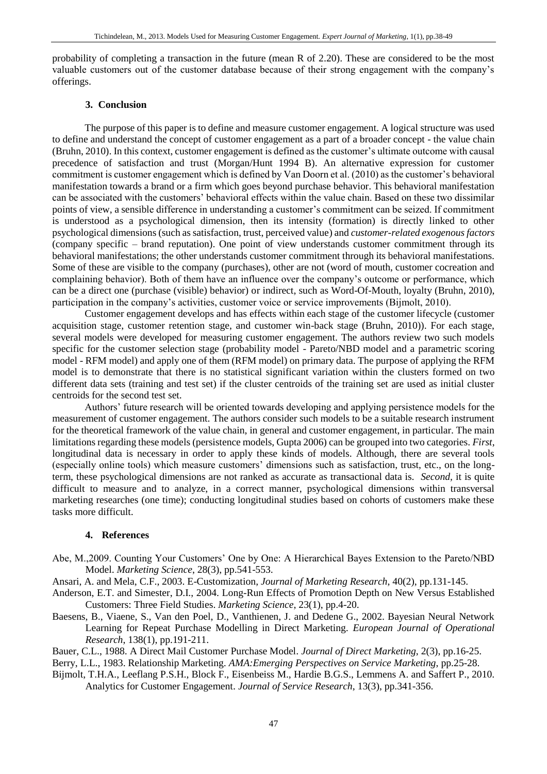probability of completing a transaction in the future (mean R of 2.20). These are considered to be the most valuable customers out of the customer database because of their strong engagement with the company's offerings.

#### **3. Conclusion**

The purpose of this paper is to define and measure customer engagement. A logical structure was used to define and understand the concept of customer engagement as a part of a broader concept - the value chain (Bruhn, 2010). In this context, customer engagement is defined as the customer's ultimate outcome with causal precedence of satisfaction and trust (Morgan/Hunt 1994 B). An alternative expression for customer commitment is customer engagement which is defined by Van Doorn et al. (2010) as the customer's behavioral manifestation towards a brand or a firm which goes beyond purchase behavior. This behavioral manifestation can be associated with the customers' behavioral effects within the value chain. Based on these two dissimilar points of view, a sensible difference in understanding a customer's commitment can be seized. If commitment is understood as a psychological dimension, then its intensity (formation) is directly linked to other psychological dimensions (such as satisfaction, trust, perceived value) and *customer-related exogenous factors* (company specific – brand reputation). One point of view understands customer commitment through its behavioral manifestations; the other understands customer commitment through its behavioral manifestations. Some of these are visible to the company (purchases), other are not (word of mouth, customer cocreation and complaining behavior). Both of them have an influence over the company's outcome or performance, which can be a direct one (purchase (visible) behavior) or indirect, such as Word-Of-Mouth, loyalty (Bruhn, 2010), participation in the company's activities, customer voice or service improvements (Bijmolt, 2010).

Customer engagement develops and has effects within each stage of the customer lifecycle (customer acquisition stage, customer retention stage, and customer win-back stage (Bruhn, 2010)). For each stage, several models were developed for measuring customer engagement. The authors review two such models specific for the customer selection stage (probability model - Pareto/NBD model and a parametric scoring model - RFM model) and apply one of them (RFM model) on primary data. The purpose of applying the RFM model is to demonstrate that there is no statistical significant variation within the clusters formed on two different data sets (training and test set) if the cluster centroids of the training set are used as initial cluster centroids for the second test set.

Authors' future research will be oriented towards developing and applying persistence models for the measurement of customer engagement. The authors consider such models to be a suitable research instrument for the theoretical framework of the value chain, in general and customer engagement, in particular. The main limitations regarding these models (persistence models, Gupta 2006) can be grouped into two categories. *First*, longitudinal data is necessary in order to apply these kinds of models. Although, there are several tools (especially online tools) which measure customers' dimensions such as satisfaction, trust, etc., on the longterm, these psychological dimensions are not ranked as accurate as transactional data is. *Second,* it is quite difficult to measure and to analyze, in a correct manner, psychological dimensions within transversal marketing researches (one time); conducting longitudinal studies based on cohorts of customers make these tasks more difficult.

#### **4. References**

Abe, M.,2009. Counting Your Customers' One by One: A Hierarchical Bayes Extension to the Pareto/NBD Model. *Marketing Science*, 28(3), pp.541-553.

Ansari, A. and Mela, C.F., 2003. E-Customization, *Journal of Marketing Research*, 40(2), pp.131-145.

- Anderson, E.T. and Simester, D.I., 2004. Long-Run Effects of Promotion Depth on New Versus Established Customers: Three Field Studies. *Marketing Science*, 23(1), pp.4-20.
- Baesens, B., Viaene, S., Van den Poel, D., Vanthienen, J. and Dedene G., 2002. Bayesian Neural Network Learning for Repeat Purchase Modelling in Direct Marketing. *European Journal of Operational Research*, 138(1), pp.191-211.
- Bauer, C.L., 1988. A Direct Mail Customer Purchase Model. *Journal of Direct Marketing*, 2(3), pp.16-25.

Berry, L.L., 1983. Relationship Marketing. *AMA:Emerging Perspectives on Service Marketing*, pp.25-28.

Bijmolt, T.H.A., Leeflang P.S.H., Block F., Eisenbeiss M., Hardie B.G.S., Lemmens A. and Saffert P., 2010. Analytics for Customer Engagement. *Journal of Service Research*, 13(3), pp.341-356.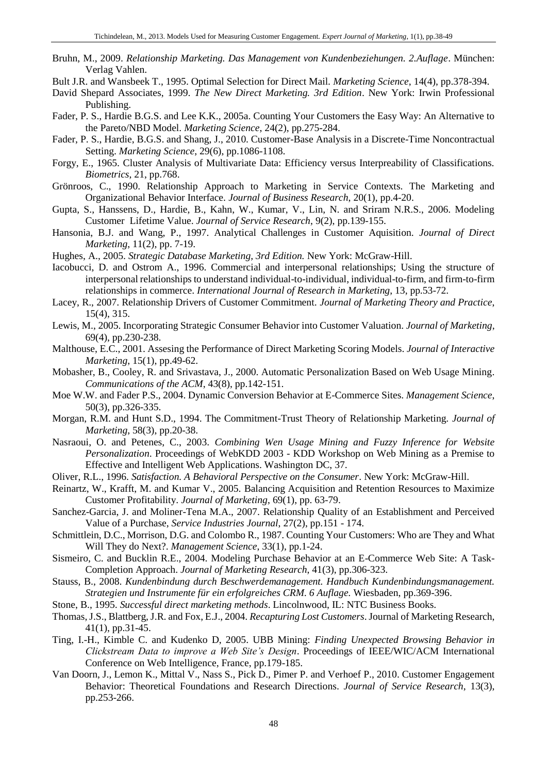- Bruhn, M., 2009. *Relationship Marketing. Das Management von Kundenbeziehungen. 2.Auflage*. München: Verlag Vahlen.
- Bult J.R. and Wansbeek T., 1995. Optimal Selection for Direct Mail. *Marketing Science*, 14(4), pp.378-394.
- David Shepard Associates, 1999. *The New Direct Marketing. 3rd Edition*. New York: Irwin Professional Publishing.
- Fader, P. S., Hardie B.G.S. and Lee K.K., 2005a. Counting Your Customers the Easy Way: An Alternative to the Pareto/NBD Model. *Marketing Science*, 24(2), pp.275-284.
- Fader, P. S., Hardie, B.G.S. and Shang, J., 2010. Customer-Base Analysis in a Discrete-Time Noncontractual Setting. *Marketing Science*, 29(6), pp.1086-1108.
- Forgy, E., 1965. Cluster Analysis of Multivariate Data: Efficiency versus Interpreability of Classifications. *Biometrics*, 21, pp.768.
- Grönroos, C., 1990. Relationship Approach to Marketing in Service Contexts. The Marketing and Organizational Behavior Interface. *Journal of Business Research*, 20(1), pp.4-20.
- Gupta, S., Hanssens, D., Hardie, B., Kahn, W., Kumar, V., Lin, N. and Sriram N.R.S., 2006. Modeling Customer Lifetime Value. *Journal of Service Research*, 9(2), pp.139-155.
- Hansonia, B.J. and Wang, P., 1997. Analytical Challenges in Customer Aquisition. *Journal of Direct Marketing*, 11(2), pp. 7-19.
- Hughes, A., 2005. *Strategic Database Marketing, 3rd Edition.* New York: McGraw-Hill.
- Iacobucci, D. and Ostrom A., 1996. Commercial and interpersonal relationships; Using the structure of interpersonal relationships to understand individual-to-individual, individual-to-firm, and firm-to-firm relationships in commerce. *International Journal of Research in Marketing*, 13, pp.53-72.
- Lacey, R., 2007. Relationship Drivers of Customer Commitment. *Journal of Marketing Theory and Practice*, 15(4), 315.
- Lewis, M., 2005. Incorporating Strategic Consumer Behavior into Customer Valuation. *Journal of Marketing*, 69(4), pp.230-238.
- Malthouse, E.C., 2001. Assesing the Performance of Direct Marketing Scoring Models. *Journal of Interactive Marketing*, 15(1), pp.49-62.
- Mobasher, B., Cooley, R. and Srivastava, J., 2000. Automatic Personalization Based on Web Usage Mining. *Communications of the ACM*, 43(8), pp.142-151.
- Moe W.W. and Fader P.S., 2004. Dynamic Conversion Behavior at E-Commerce Sites. *Management Science*, 50(3), pp.326-335.
- Morgan, R.M. and Hunt S.D., 1994. The Commitment-Trust Theory of Relationship Marketing. *Journal of Marketing*, 58(3), pp.20-38.
- Nasraoui, O. and Petenes, C., 2003. *Combining Wen Usage Mining and Fuzzy Inference for Website Personalization*. Proceedings of WebKDD 2003 - KDD Workshop on Web Mining as a Premise to Effective and Intelligent Web Applications. Washington DC, 37.
- Oliver, R.L., 1996. *Satisfaction. A Behavioral Perspective on the Consumer*. New York: McGraw-Hill.
- Reinartz, W., Krafft, M. and Kumar V., 2005. Balancing Acquisition and Retention Resources to Maximize Customer Profitability. *Journal of Marketing*, 69(1), pp. 63-79.
- Sanchez-Garcia, J. and Moliner-Tena M.A., 2007. Relationship Quality of an Establishment and Perceived Value of a Purchase, *Service Industries Journal*, 27(2), pp.151 - 174.
- Schmittlein, D.C., Morrison, D.G. and Colombo R., 1987. Counting Your Customers: Who are They and What Will They do Next?. *Management Science*, 33(1), pp.1-24.
- Sismeiro, C. and Bucklin R.E., 2004. Modeling Purchase Behavior at an E-Commerce Web Site: A Task-Completion Approach. *Journal of Marketing Research*, 41(3), pp.306-323.
- Stauss, B., 2008. *Kundenbindung durch Beschwerdemanagement. Handbuch Kundenbindungsmanagement. Strategien und Instrumente für ein erfolgreiches CRM. 6 Auflage.* Wiesbaden, pp.369-396.
- Stone, B., 1995. *Successful direct marketing methods*. Lincolnwood, IL: NTC Business Books.
- Thomas, J.S., Blattberg, J.R. and Fox, E.J., 2004. *Recapturing Lost Customers*. Journal of Marketing Research, 41(1), pp.31-45.
- Ting, I.-H., Kimble C. and Kudenko D, 2005. UBB Mining: *Finding Unexpected Browsing Behavior in Clickstream Data to improve a Web Site's Design*. Proceedings of IEEE/WIC/ACM International Conference on Web Intelligence, France, pp.179-185.
- Van Doorn, J., Lemon K., Mittal V., Nass S., Pick D., Pimer P. and Verhoef P., 2010. Customer Engagement Behavior: Theoretical Foundations and Research Directions. *Journal of Service Research*, 13(3), pp.253-266.